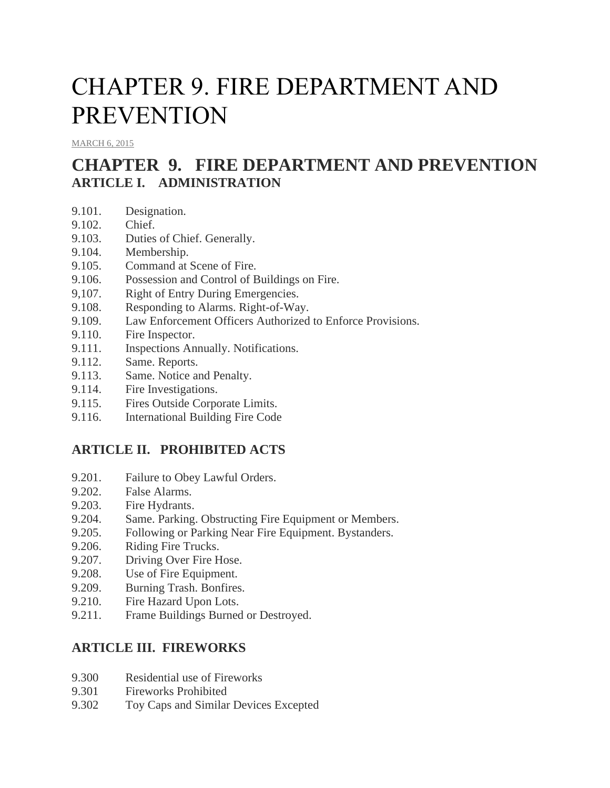# CHAPTER 9. FIRE DEPARTMENT AND PREVENTION

[MARCH](http://townofcampobello.us/chapter-9-fire-department-and-prevention/) 6, 2015

# **CHAPTER 9. FIRE DEPARTMENT AND PREVENTION ARTICLE I. ADMINISTRATION**

- 9.101. Designation.
- 9.102. Chief.
- 9.103. Duties of Chief. Generally.
- 9.104. Membership.
- 9.105. Command at Scene of Fire.
- 9.106. Possession and Control of Buildings on Fire.
- 9,107. Right of Entry During Emergencies.
- 9.108. Responding to Alarms. Right-of-Way.
- 9.109. Law Enforcement Officers Authorized to Enforce Provisions.
- 9.110. Fire Inspector.
- 9.111. Inspections Annually. Notifications.
- 9.112. Same. Reports.
- 9.113. Same. Notice and Penalty.
- 9.114. Fire Investigations.
- 9.115. Fires Outside Corporate Limits.
- 9.116. International Building Fire Code

# **ARTICLE II. PROHIBITED ACTS**

- 9.201. Failure to Obey Lawful Orders.
- 9.202. False Alarms.
- 9.203. Fire Hydrants.
- 9.204. Same. Parking. Obstructing Fire Equipment or Members.
- 9.205. Following or Parking Near Fire Equipment. Bystanders.
- 9.206. Riding Fire Trucks.
- 9.207. Driving Over Fire Hose.
- 9.208. Use of Fire Equipment.
- 9.209. Burning Trash. Bonfires.
- 9.210. Fire Hazard Upon Lots.
- 9.211. Frame Buildings Burned or Destroyed.

# **ARTICLE III. FIREWORKS**

- 9.300 Residential use of Fireworks
- 9.301 Fireworks Prohibited
- 9.302 Toy Caps and Similar Devices Excepted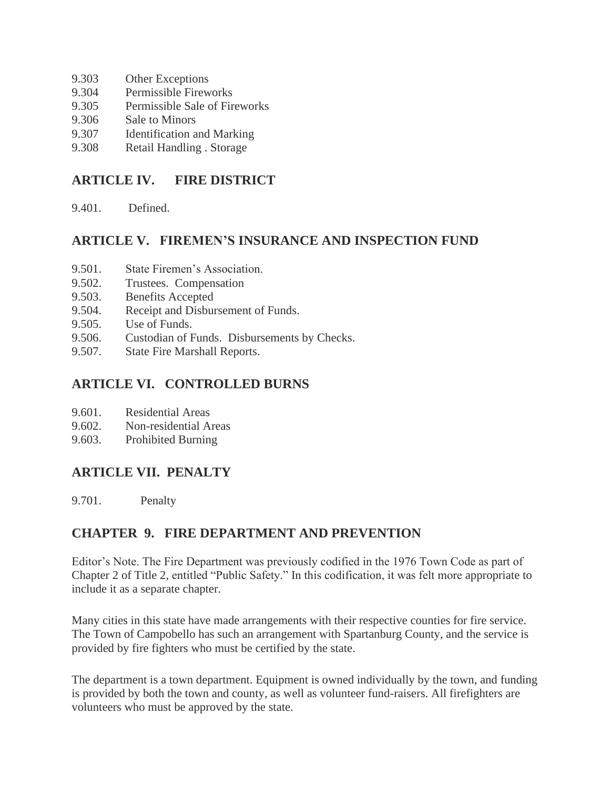- 9.303 Other Exceptions
- 9.304 Permissible Fireworks
- 9.305 Permissible Sale of Fireworks
- 9.306 Sale to Minors
- 9.307 Identification and Marking
- 9.308 Retail Handling . Storage

# **ARTICLE IV. FIRE DISTRICT**

9.401. Defined.

# **ARTICLE V. FIREMEN'S INSURANCE AND INSPECTION FUND**

- 9.501. State Firemen's Association.
- 9.502. Trustees. Compensation
- 9.503. Benefits Accepted
- 9.504. Receipt and Disbursement of Funds.
- 9.505. Use of Funds.
- 9.506. Custodian of Funds. Disbursements by Checks.
- 9.507. State Fire Marshall Reports.

# **ARTICLE VI. CONTROLLED BURNS**

- 9.601. Residential Areas
- 9.602. Non-residential Areas
- 9.603. Prohibited Burning

# **ARTICLE VII. PENALTY**

9.701. Penalty

# **CHAPTER 9. FIRE DEPARTMENT AND PREVENTION**

Editor's Note. The Fire Department was previously codified in the 1976 Town Code as part of Chapter 2 of Title 2, entitled "Public Safety." In this codification, it was felt more appropriate to include it as a separate chapter.

Many cities in this state have made arrangements with their respective counties for fire service. The Town of Campobello has such an arrangement with Spartanburg County, and the service is provided by fire fighters who must be certified by the state.

The department is a town department. Equipment is owned individually by the town, and funding is provided by both the town and county, as well as volunteer fund-raisers. All firefighters are volunteers who must be approved by the state.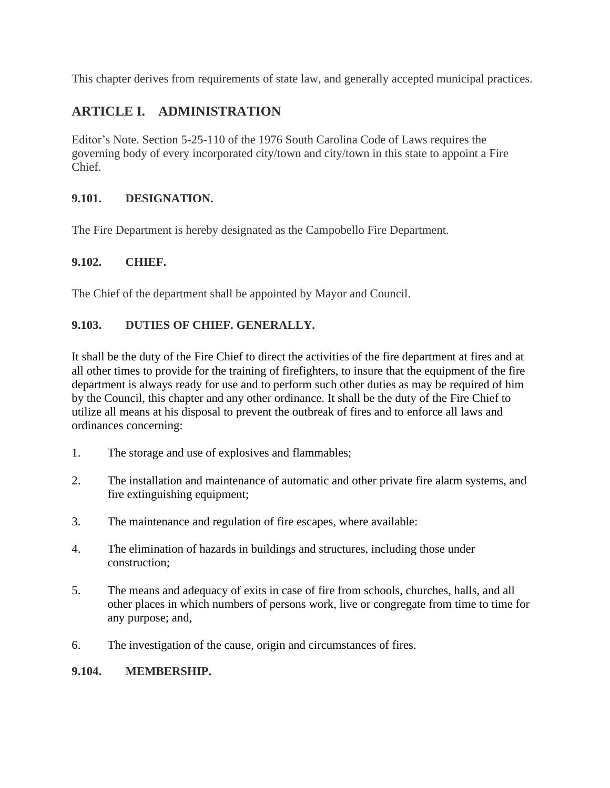This chapter derives from requirements of state law, and generally accepted municipal practices.

# **ARTICLE I. ADMINISTRATION**

Editor's Note. Section 5-25-110 of the 1976 South Carolina Code of Laws requires the governing body of every incorporated city/town and city/town in this state to appoint a Fire Chief.

### **9.101. DESIGNATION.**

The Fire Department is hereby designated as the Campobello Fire Department.

# **9.102. CHIEF.**

The Chief of the department shall be appointed by Mayor and Council.

#### **9.103. DUTIES OF CHIEF. GENERALLY.**

It shall be the duty of the Fire Chief to direct the activities of the fire department at fires and at all other times to provide for the training of firefighters, to insure that the equipment of the fire department is always ready for use and to perform such other duties as may be required of him by the Council, this chapter and any other ordinance. It shall be the duty of the Fire Chief to utilize all means at his disposal to prevent the outbreak of fires and to enforce all laws and ordinances concerning:

- 1. The storage and use of explosives and flammables;
- 2. The installation and maintenance of automatic and other private fire alarm systems, and fire extinguishing equipment;
- 3. The maintenance and regulation of fire escapes, where available:
- 4. The elimination of hazards in buildings and structures, including those under construction;
- 5. The means and adequacy of exits in case of fire from schools, churches, halls, and all other places in which numbers of persons work, live or congregate from time to time for any purpose; and,
- 6. The investigation of the cause, origin and circumstances of fires.

#### **9.104. MEMBERSHIP.**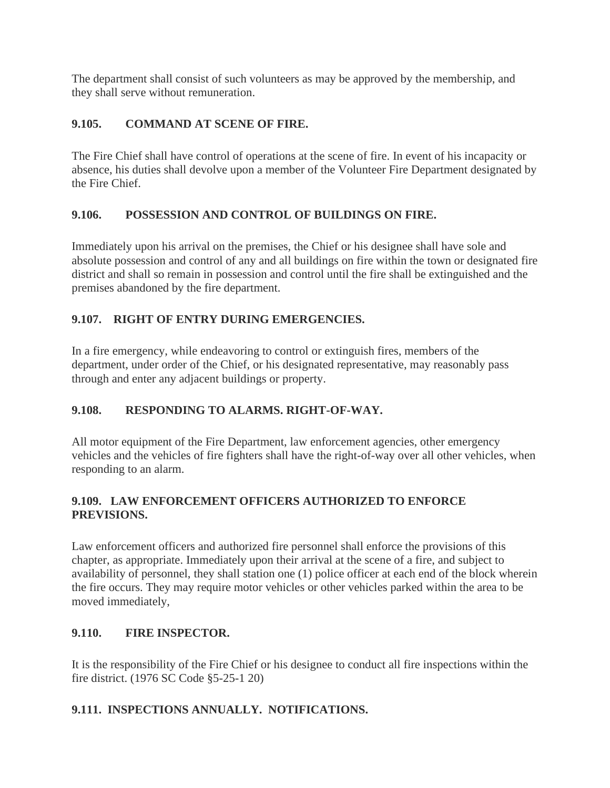The department shall consist of such volunteers as may be approved by the membership, and they shall serve without remuneration.

### **9.105. COMMAND AT SCENE OF FIRE.**

The Fire Chief shall have control of operations at the scene of fire. In event of his incapacity or absence, his duties shall devolve upon a member of the Volunteer Fire Department designated by the Fire Chief.

#### **9.106. POSSESSION AND CONTROL OF BUILDINGS ON FIRE.**

Immediately upon his arrival on the premises, the Chief or his designee shall have sole and absolute possession and control of any and all buildings on fire within the town or designated fire district and shall so remain in possession and control until the fire shall be extinguished and the premises abandoned by the fire department.

#### **9.107. RIGHT OF ENTRY DURING EMERGENCIES.**

In a fire emergency, while endeavoring to control or extinguish fires, members of the department, under order of the Chief, or his designated representative, may reasonably pass through and enter any adjacent buildings or property.

# **9.108. RESPONDING TO ALARMS. RIGHT-OF-WAY.**

All motor equipment of the Fire Department, law enforcement agencies, other emergency vehicles and the vehicles of fire fighters shall have the right-of-way over all other vehicles, when responding to an alarm.

#### **9.109. LAW ENFORCEMENT OFFICERS AUTHORIZED TO ENFORCE PREVISIONS.**

Law enforcement officers and authorized fire personnel shall enforce the provisions of this chapter, as appropriate. Immediately upon their arrival at the scene of a fire, and subject to availability of personnel, they shall station one (1) police officer at each end of the block wherein the fire occurs. They may require motor vehicles or other vehicles parked within the area to be moved immediately,

# **9.110. FIRE INSPECTOR.**

It is the responsibility of the Fire Chief or his designee to conduct all fire inspections within the fire district. (1976 SC Code §5-25-1 20)

#### **9.111. INSPECTIONS ANNUALLY. NOTIFICATIONS.**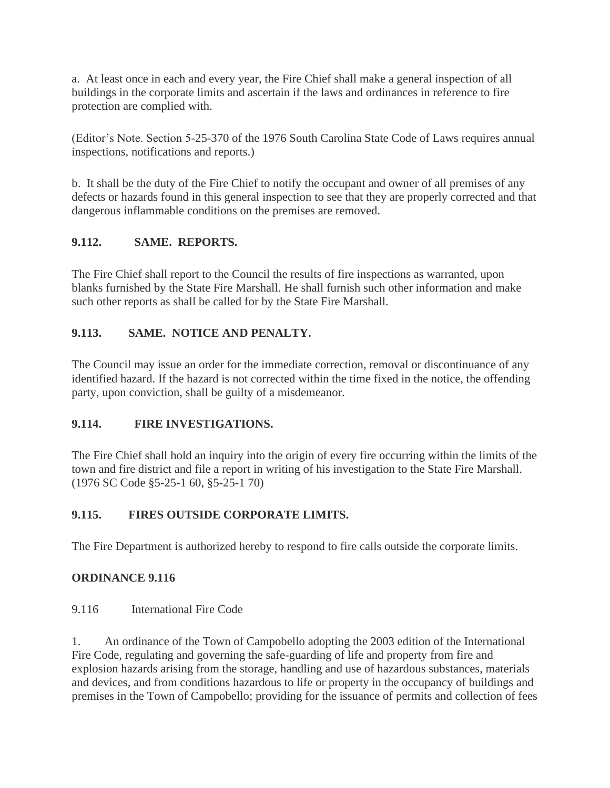a. At least once in each and every year, the Fire Chief shall make a general inspection of all buildings in the corporate limits and ascertain if the laws and ordinances in reference to fire protection are complied with.

(Editor's Note. Section 5-25-370 of the 1976 South Carolina State Code of Laws requires annual inspections, notifications and reports.)

b. It shall be the duty of the Fire Chief to notify the occupant and owner of all premises of any defects or hazards found in this general inspection to see that they are properly corrected and that dangerous inflammable conditions on the premises are removed.

# **9.112. SAME. REPORTS.**

The Fire Chief shall report to the Council the results of fire inspections as warranted, upon blanks furnished by the State Fire Marshall. He shall furnish such other information and make such other reports as shall be called for by the State Fire Marshall.

# **9.113. SAME. NOTICE AND PENALTY.**

The Council may issue an order for the immediate correction, removal or discontinuance of any identified hazard. If the hazard is not corrected within the time fixed in the notice, the offending party, upon conviction, shall be guilty of a misdemeanor.

# **9.114. FIRE INVESTIGATIONS.**

The Fire Chief shall hold an inquiry into the origin of every fire occurring within the limits of the town and fire district and file a report in writing of his investigation to the State Fire Marshall. (1976 SC Code §5-25-1 60, §5-25-1 70)

#### **9.115. FIRES OUTSIDE CORPORATE LIMITS.**

The Fire Department is authorized hereby to respond to fire calls outside the corporate limits.

#### **ORDINANCE 9.116**

9.116 International Fire Code

1. An ordinance of the Town of Campobello adopting the 2003 edition of the International Fire Code, regulating and governing the safe-guarding of life and property from fire and explosion hazards arising from the storage, handling and use of hazardous substances, materials and devices, and from conditions hazardous to life or property in the occupancy of buildings and premises in the Town of Campobello; providing for the issuance of permits and collection of fees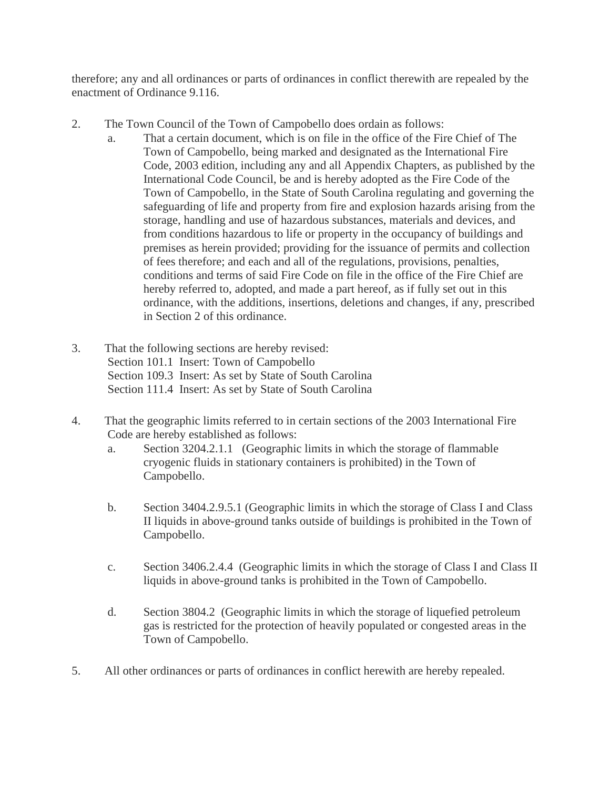therefore; any and all ordinances or parts of ordinances in conflict therewith are repealed by the enactment of Ordinance 9.116.

- 2. The Town Council of the Town of Campobello does ordain as follows:
	- a. That a certain document, which is on file in the office of the Fire Chief of The Town of Campobello, being marked and designated as the International Fire Code, 2003 edition, including any and all Appendix Chapters, as published by the International Code Council, be and is hereby adopted as the Fire Code of the Town of Campobello, in the State of South Carolina regulating and governing the safeguarding of life and property from fire and explosion hazards arising from the storage, handling and use of hazardous substances, materials and devices, and from conditions hazardous to life or property in the occupancy of buildings and premises as herein provided; providing for the issuance of permits and collection of fees therefore; and each and all of the regulations, provisions, penalties, conditions and terms of said Fire Code on file in the office of the Fire Chief are hereby referred to, adopted, and made a part hereof, as if fully set out in this ordinance, with the additions, insertions, deletions and changes, if any, prescribed in Section 2 of this ordinance.
- 3. That the following sections are hereby revised: Section 101.1 Insert: Town of Campobello Section 109.3 Insert: As set by State of South Carolina Section 111.4 Insert: As set by State of South Carolina
- 4. That the geographic limits referred to in certain sections of the 2003 International Fire Code are hereby established as follows:
	- a. Section 3204.2.1.1 (Geographic limits in which the storage of flammable cryogenic fluids in stationary containers is prohibited) in the Town of Campobello.
	- b. Section 3404.2.9.5.1 (Geographic limits in which the storage of Class I and Class II liquids in above-ground tanks outside of buildings is prohibited in the Town of Campobello.
	- c. Section 3406.2.4.4 (Geographic limits in which the storage of Class I and Class II liquids in above-ground tanks is prohibited in the Town of Campobello.
	- d. Section 3804.2 (Geographic limits in which the storage of liquefied petroleum gas is restricted for the protection of heavily populated or congested areas in the Town of Campobello.
- 5. All other ordinances or parts of ordinances in conflict herewith are hereby repealed.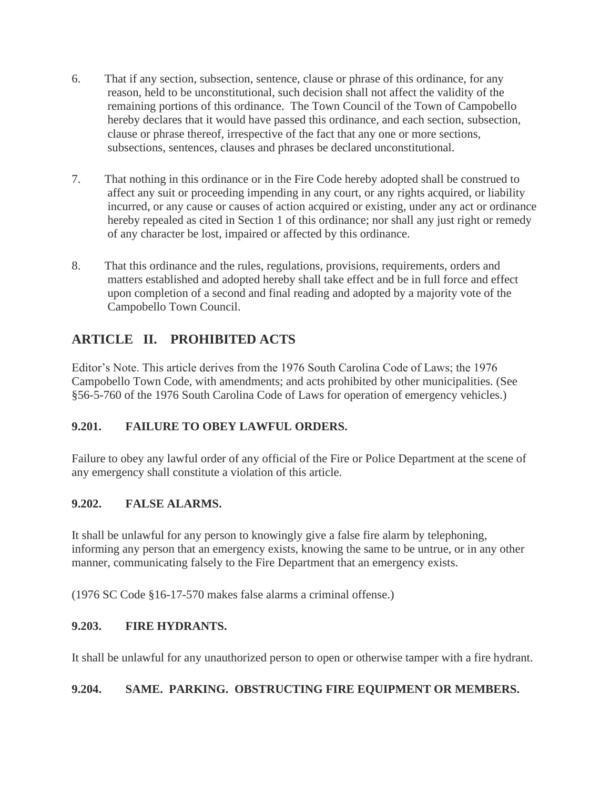- 6. That if any section, subsection, sentence, clause or phrase of this ordinance, for any reason, held to be unconstitutional, such decision shall not affect the validity of the remaining portions of this ordinance. The Town Council of the Town of Campobello hereby declares that it would have passed this ordinance, and each section, subsection, clause or phrase thereof, irrespective of the fact that any one or more sections, subsections, sentences, clauses and phrases be declared unconstitutional.
- 7. That nothing in this ordinance or in the Fire Code hereby adopted shall be construed to affect any suit or proceeding impending in any court, or any rights acquired, or liability incurred, or any cause or causes of action acquired or existing, under any act or ordinance hereby repealed as cited in Section 1 of this ordinance; nor shall any just right or remedy of any character be lost, impaired or affected by this ordinance.
- 8. That this ordinance and the rules, regulations, provisions, requirements, orders and matters established and adopted hereby shall take effect and be in full force and effect upon completion of a second and final reading and adopted by a majority vote of the Campobello Town Council.

# **ARTICLE II. PROHIBITED ACTS**

Editor's Note. This article derives from the 1976 South Carolina Code of Laws; the 1976 Campobello Town Code, with amendments; and acts prohibited by other municipalities. (See §56-5-760 of the 1976 South Carolina Code of Laws for operation of emergency vehicles.)

# **9.201. FAILURE TO OBEY LAWFUL ORDERS.**

Failure to obey any lawful order of any official of the Fire or Police Department at the scene of any emergency shall constitute a violation of this article.

# **9.202. FALSE ALARMS.**

It shall be unlawful for any person to knowingly give a false fire alarm by telephoning, informing any person that an emergency exists, knowing the same to be untrue, or in any other manner, communicating falsely to the Fire Department that an emergency exists.

(1976 SC Code §16-17-570 makes false alarms a criminal offense.)

# **9.203. FIRE HYDRANTS.**

It shall be unlawful for any unauthorized person to open or otherwise tamper with a fire hydrant.

# **9.204. SAME. PARKING. OBSTRUCTING FIRE EQUIPMENT OR MEMBERS.**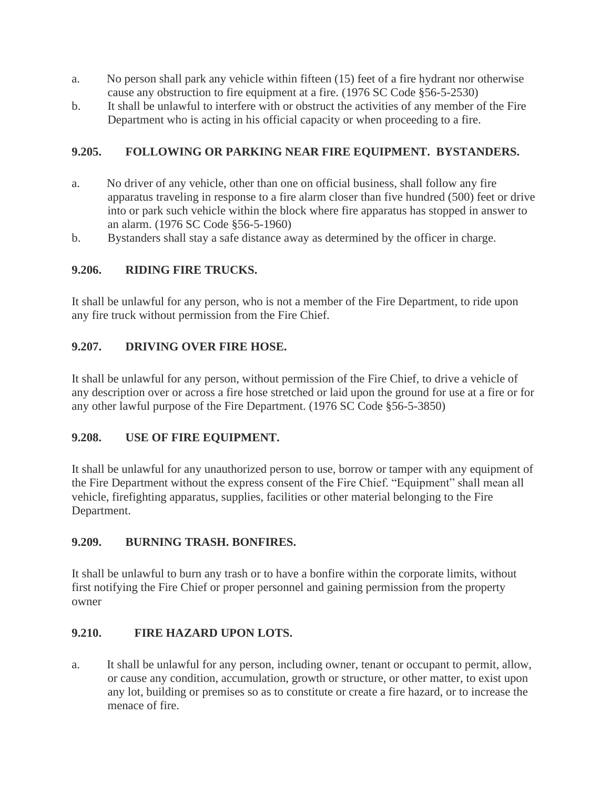- a. No person shall park any vehicle within fifteen (15) feet of a fire hydrant nor otherwise cause any obstruction to fire equipment at a fire. (1976 SC Code §56-5-2530)
- b. It shall be unlawful to interfere with or obstruct the activities of any member of the Fire Department who is acting in his official capacity or when proceeding to a fire.

#### **9.205. FOLLOWING OR PARKING NEAR FIRE EQUIPMENT. BYSTANDERS.**

- a. No driver of any vehicle, other than one on official business, shall follow any fire apparatus traveling in response to a fire alarm closer than five hundred (500) feet or drive into or park such vehicle within the block where fire apparatus has stopped in answer to an alarm. (1976 SC Code §56-5-1960)
- b. Bystanders shall stay a safe distance away as determined by the officer in charge.

#### **9.206. RIDING FIRE TRUCKS.**

It shall be unlawful for any person, who is not a member of the Fire Department, to ride upon any fire truck without permission from the Fire Chief.

#### **9.207. DRIVING OVER FIRE HOSE.**

It shall be unlawful for any person, without permission of the Fire Chief, to drive a vehicle of any description over or across a fire hose stretched or laid upon the ground for use at a fire or for any other lawful purpose of the Fire Department. (1976 SC Code §56-5-3850)

#### **9.208. USE OF FIRE EQUIPMENT.**

It shall be unlawful for any unauthorized person to use, borrow or tamper with any equipment of the Fire Department without the express consent of the Fire Chief. "Equipment" shall mean all vehicle, firefighting apparatus, supplies, facilities or other material belonging to the Fire Department.

#### **9.209. BURNING TRASH. BONFIRES.**

It shall be unlawful to burn any trash or to have a bonfire within the corporate limits, without first notifying the Fire Chief or proper personnel and gaining permission from the property owner

#### **9.210. FIRE HAZARD UPON LOTS.**

a. It shall be unlawful for any person, including owner, tenant or occupant to permit, allow, or cause any condition, accumulation, growth or structure, or other matter, to exist upon any lot, building or premises so as to constitute or create a fire hazard, or to increase the menace of fire.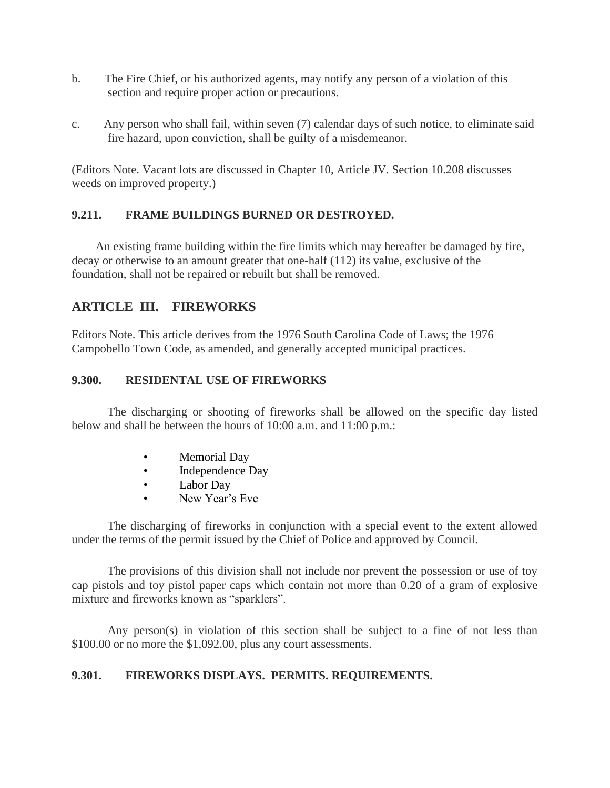- b. The Fire Chief, or his authorized agents, may notify any person of a violation of this section and require proper action or precautions.
- c. Any person who shall fail, within seven (7) calendar days of such notice, to eliminate said fire hazard, upon conviction, shall be guilty of a misdemeanor.

(Editors Note. Vacant lots are discussed in Chapter 10, Article JV. Section 10.208 discusses weeds on improved property.)

#### **9.211. FRAME BUILDINGS BURNED OR DESTROYED.**

 An existing frame building within the fire limits which may hereafter be damaged by fire, decay or otherwise to an amount greater that one-half (112) its value, exclusive of the foundation, shall not be repaired or rebuilt but shall be removed.

# **ARTICLE III. FIREWORKS**

Editors Note. This article derives from the 1976 South Carolina Code of Laws; the 1976 Campobello Town Code, as amended, and generally accepted municipal practices.

#### **9.300. RESIDENTAL USE OF FIREWORKS**

The discharging or shooting of fireworks shall be allowed on the specific day listed below and shall be between the hours of 10:00 a.m. and 11:00 p.m.:

- Memorial Day
- Independence Day
- Labor Day
- New Year's Eve

The discharging of fireworks in conjunction with a special event to the extent allowed under the terms of the permit issued by the Chief of Police and approved by Council.

The provisions of this division shall not include nor prevent the possession or use of toy cap pistols and toy pistol paper caps which contain not more than 0.20 of a gram of explosive mixture and fireworks known as "sparklers".

Any person(s) in violation of this section shall be subject to a fine of not less than \$100.00 or no more the \$1,092.00, plus any court assessments.

# **9.301. FIREWORKS DISPLAYS. PERMITS. REQUIREMENTS.**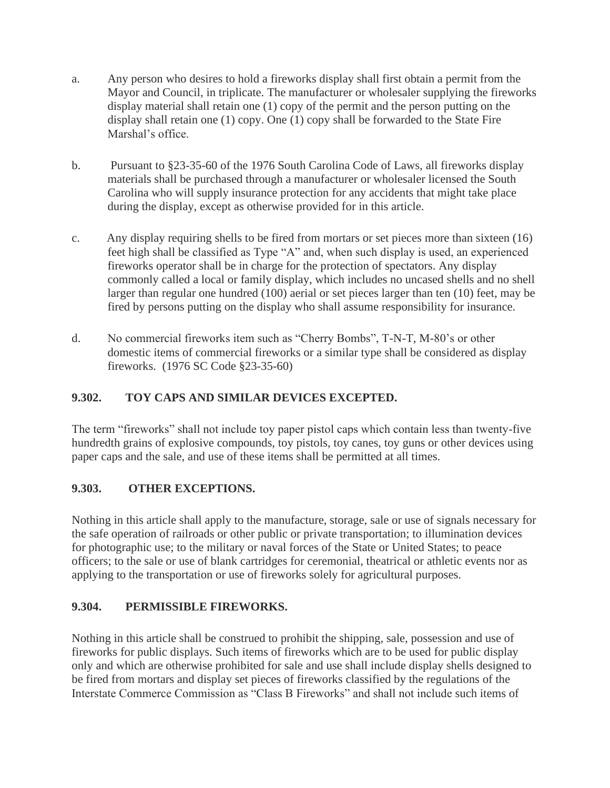- a. Any person who desires to hold a fireworks display shall first obtain a permit from the Mayor and Council, in triplicate. The manufacturer or wholesaler supplying the fireworks display material shall retain one (1) copy of the permit and the person putting on the display shall retain one (1) copy. One (1) copy shall be forwarded to the State Fire Marshal's office.
- b. Pursuant to §23-35-60 of the 1976 South Carolina Code of Laws, all fireworks display materials shall be purchased through a manufacturer or wholesaler licensed the South Carolina who will supply insurance protection for any accidents that might take place during the display, except as otherwise provided for in this article.
- c. Any display requiring shells to be fired from mortars or set pieces more than sixteen (16) feet high shall be classified as Type "A" and, when such display is used, an experienced fireworks operator shall be in charge for the protection of spectators. Any display commonly called a local or family display, which includes no uncased shells and no shell larger than regular one hundred (100) aerial or set pieces larger than ten (10) feet, may be fired by persons putting on the display who shall assume responsibility for insurance.
- d. No commercial fireworks item such as "Cherry Bombs", T-N-T, M-80's or other domestic items of commercial fireworks or a similar type shall be considered as display fireworks. (1976 SC Code §23-35-60)

# **9.302. TOY CAPS AND SIMILAR DEVICES EXCEPTED.**

The term "fireworks" shall not include toy paper pistol caps which contain less than twenty-five hundredth grains of explosive compounds, toy pistols, toy canes, toy guns or other devices using paper caps and the sale, and use of these items shall be permitted at all times.

#### **9.303. OTHER EXCEPTIONS.**

Nothing in this article shall apply to the manufacture, storage, sale or use of signals necessary for the safe operation of railroads or other public or private transportation; to illumination devices for photographic use; to the military or naval forces of the State or United States; to peace officers; to the sale or use of blank cartridges for ceremonial, theatrical or athletic events nor as applying to the transportation or use of fireworks solely for agricultural purposes.

#### **9.304. PERMISSIBLE FIREWORKS.**

Nothing in this article shall be construed to prohibit the shipping, sale, possession and use of fireworks for public displays. Such items of fireworks which are to be used for public display only and which are otherwise prohibited for sale and use shall include display shells designed to be fired from mortars and display set pieces of fireworks classified by the regulations of the Interstate Commerce Commission as "Class B Fireworks" and shall not include such items of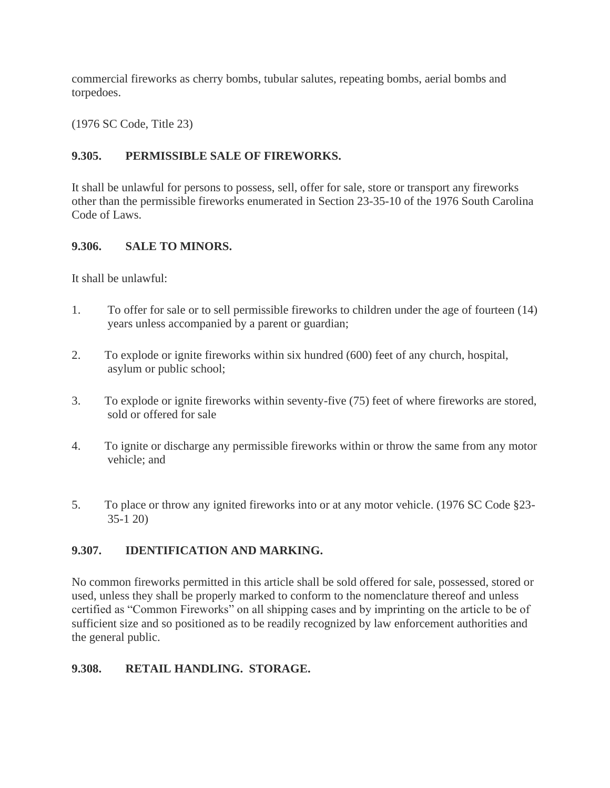commercial fireworks as cherry bombs, tubular salutes, repeating bombs, aerial bombs and torpedoes.

(1976 SC Code, Title 23)

#### **9.305. PERMISSIBLE SALE OF FIREWORKS.**

It shall be unlawful for persons to possess, sell, offer for sale, store or transport any fireworks other than the permissible fireworks enumerated in Section 23-35-10 of the 1976 South Carolina Code of Laws.

#### **9.306. SALE TO MINORS.**

It shall be unlawful:

- 1. To offer for sale or to sell permissible fireworks to children under the age of fourteen (14) years unless accompanied by a parent or guardian;
- 2. To explode or ignite fireworks within six hundred (600) feet of any church, hospital, asylum or public school;
- 3. To explode or ignite fireworks within seventy-five (75) feet of where fireworks are stored, sold or offered for sale
- 4. To ignite or discharge any permissible fireworks within or throw the same from any motor vehicle; and
- 5. To place or throw any ignited fireworks into or at any motor vehicle. (1976 SC Code §23- 35-1 20)

# **9.307. IDENTIFICATION AND MARKING.**

No common fireworks permitted in this article shall be sold offered for sale, possessed, stored or used, unless they shall be properly marked to conform to the nomenclature thereof and unless certified as "Common Fireworks" on all shipping cases and by imprinting on the article to be of sufficient size and so positioned as to be readily recognized by law enforcement authorities and the general public.

# **9.308. RETAIL HANDLING. STORAGE.**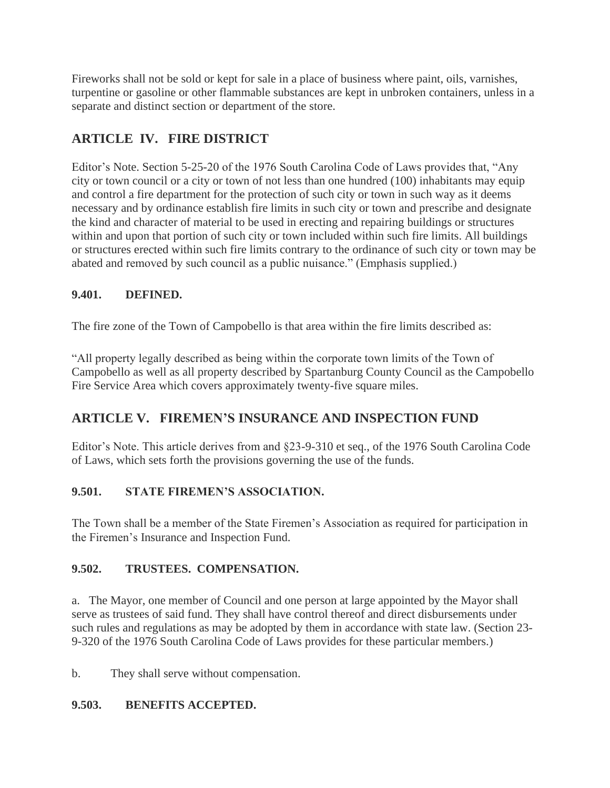Fireworks shall not be sold or kept for sale in a place of business where paint, oils, varnishes, turpentine or gasoline or other flammable substances are kept in unbroken containers, unless in a separate and distinct section or department of the store.

# **ARTICLE IV. FIRE DISTRICT**

Editor's Note. Section 5-25-20 of the 1976 South Carolina Code of Laws provides that, "Any city or town council or a city or town of not less than one hundred (100) inhabitants may equip and control a fire department for the protection of such city or town in such way as it deems necessary and by ordinance establish fire limits in such city or town and prescribe and designate the kind and character of material to be used in erecting and repairing buildings or structures within and upon that portion of such city or town included within such fire limits. All buildings or structures erected within such fire limits contrary to the ordinance of such city or town may be abated and removed by such council as a public nuisance." (Emphasis supplied.)

# **9.401. DEFINED.**

The fire zone of the Town of Campobello is that area within the fire limits described as:

"All property legally described as being within the corporate town limits of the Town of Campobello as well as all property described by Spartanburg County Council as the Campobello Fire Service Area which covers approximately twenty-five square miles.

# **ARTICLE V. FIREMEN'S INSURANCE AND INSPECTION FUND**

Editor's Note. This article derives from and §23-9-310 et seq., of the 1976 South Carolina Code of Laws, which sets forth the provisions governing the use of the funds.

#### **9.501. STATE FIREMEN'S ASSOCIATION.**

The Town shall be a member of the State Firemen's Association as required for participation in the Firemen's Insurance and Inspection Fund.

#### **9.502. TRUSTEES. COMPENSATION.**

a. The Mayor, one member of Council and one person at large appointed by the Mayor shall serve as trustees of said fund. They shall have control thereof and direct disbursements under such rules and regulations as may be adopted by them in accordance with state law. (Section 23- 9-320 of the 1976 South Carolina Code of Laws provides for these particular members.)

b. They shall serve without compensation.

#### **9.503. BENEFITS ACCEPTED.**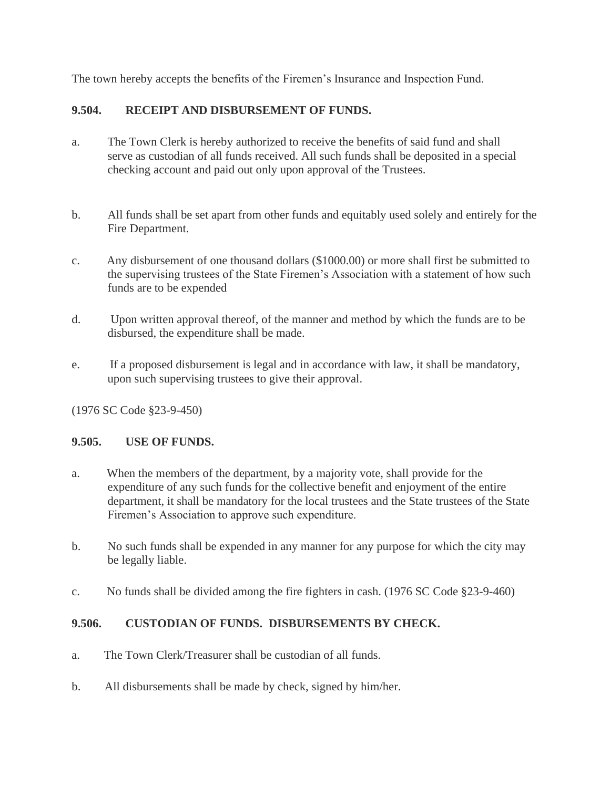The town hereby accepts the benefits of the Firemen's Insurance and Inspection Fund.

# **9.504. RECEIPT AND DISBURSEMENT OF FUNDS.**

- a. The Town Clerk is hereby authorized to receive the benefits of said fund and shall serve as custodian of all funds received. All such funds shall be deposited in a special checking account and paid out only upon approval of the Trustees.
- b. All funds shall be set apart from other funds and equitably used solely and entirely for the Fire Department.
- c. Any disbursement of one thousand dollars (\$1000.00) or more shall first be submitted to the supervising trustees of the State Firemen's Association with a statement of how such funds are to be expended
- d. Upon written approval thereof, of the manner and method by which the funds are to be disbursed, the expenditure shall be made.
- e. If a proposed disbursement is legal and in accordance with law, it shall be mandatory, upon such supervising trustees to give their approval.

(1976 SC Code §23-9-450)

# **9.505. USE OF FUNDS.**

- a. When the members of the department, by a majority vote, shall provide for the expenditure of any such funds for the collective benefit and enjoyment of the entire department, it shall be mandatory for the local trustees and the State trustees of the State Firemen's Association to approve such expenditure.
- b. No such funds shall be expended in any manner for any purpose for which the city may be legally liable.
- c. No funds shall be divided among the fire fighters in cash. (1976 SC Code §23-9-460)

# **9.506. CUSTODIAN OF FUNDS. DISBURSEMENTS BY CHECK.**

- a. The Town Clerk/Treasurer shall be custodian of all funds.
- b. All disbursements shall be made by check, signed by him/her.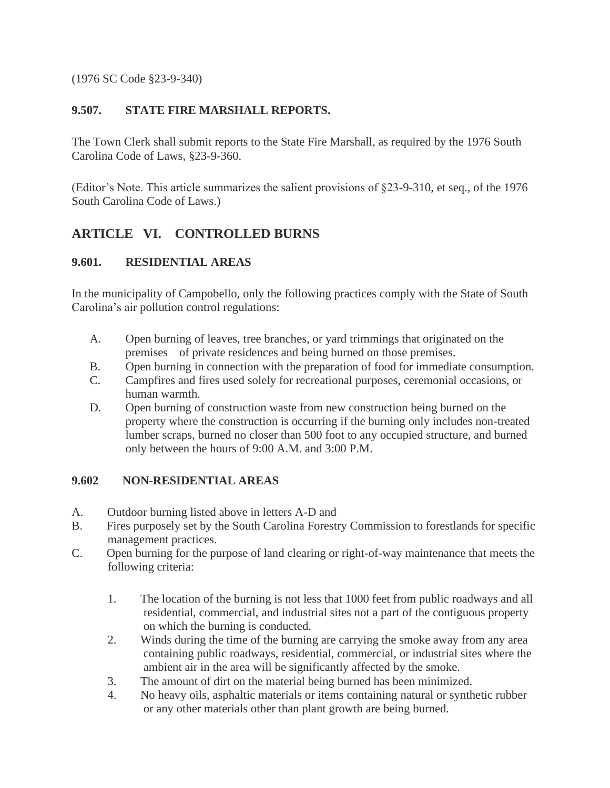(1976 SC Code §23-9-340)

#### **9.507. STATE FIRE MARSHALL REPORTS.**

The Town Clerk shall submit reports to the State Fire Marshall, as required by the 1976 South Carolina Code of Laws, §23-9-360.

(Editor's Note. This article summarizes the salient provisions of §23-9-310, et seq., of the 1976 South Carolina Code of Laws.)

# **ARTICLE VI. CONTROLLED BURNS**

# **9.601. RESIDENTIAL AREAS**

In the municipality of Campobello, only the following practices comply with the State of South Carolina's air pollution control regulations:

- A. Open burning of leaves, tree branches, or yard trimmings that originated on the premises of private residences and being burned on those premises.
- B. Open burning in connection with the preparation of food for immediate consumption.
- C. Campfires and fires used solely for recreational purposes, ceremonial occasions, or human warmth.
- D. Open burning of construction waste from new construction being burned on the property where the construction is occurring if the burning only includes non-treated lumber scraps, burned no closer than 500 foot to any occupied structure, and burned only between the hours of 9:00 A.M. and 3:00 P.M.

#### **9.602 NON-RESIDENTIAL AREAS**

- A. Outdoor burning listed above in letters A-D and
- B. Fires purposely set by the South Carolina Forestry Commission to forestlands for specific management practices.
- C. Open burning for the purpose of land clearing or right-of-way maintenance that meets the following criteria:
	- 1. The location of the burning is not less that 1000 feet from public roadways and all residential, commercial, and industrial sites not a part of the contiguous property on which the burning is conducted.
	- 2. Winds during the time of the burning are carrying the smoke away from any area containing public roadways, residential, commercial, or industrial sites where the ambient air in the area will be significantly affected by the smoke.
	- 3. The amount of dirt on the material being burned has been minimized.
	- 4. No heavy oils, asphaltic materials or items containing natural or synthetic rubber or any other materials other than plant growth are being burned.